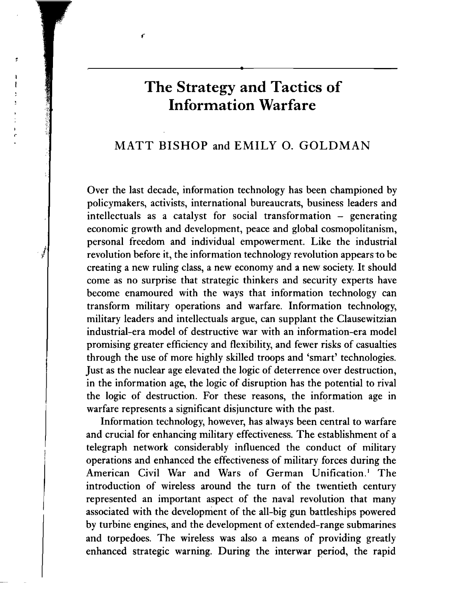**•** 

۴

,

# MATT BISHOP and EMILY O. GOLDMAN

Over the last decade, information technology has been championed by policymakers, activists, international bureaucrats, business leaders and intellectuals as a catalyst for social transformation  $-$  generating economic growth and development, peace and global cosmopolitanism, personal freedom and individual empowerment. Like the industrial revolution before it, the information technology revolution appears to be creating a new ruling class, a new economy and a new society. It should come as no surprise that strategic thinkers and security experts have become enamoured with the ways that information technology can transform military operations and warfare. Information technology, military leaders and intellectuals argue, can supplant the Clausewitzian industrial-era model of destructive war with an information-era model promising greater efficiency and flexibility, and fewer risks of casualties through the use of more highly skilled troops and 'smart' technologies. Just as the nuclear age elevated the logic of deterrence over destruction, in the information age, the logic of disruption has the potential to rival the logic of destruction. For these reasons, the information age in warfare represents a significant disjuncture with the past.

Information technology, however, has always been central to warfare and crucial for enhancing military effectiveness. The establishment of a telegraph network considerably influenced the conduct of military operations and enhanced the effectiveness of military forces during the American Civil War and Wars of German Unification.' The introduction of wireless around the turn of the twentieth century represented an important aspect of the naval revolution that many associated with the development of the all-big gun battleships powered by turbine engines, and the development of extended-range submarines and torpedoes. The wireless was also a means of providing greatly enhanced strategic warning. During the interwar period, the rapid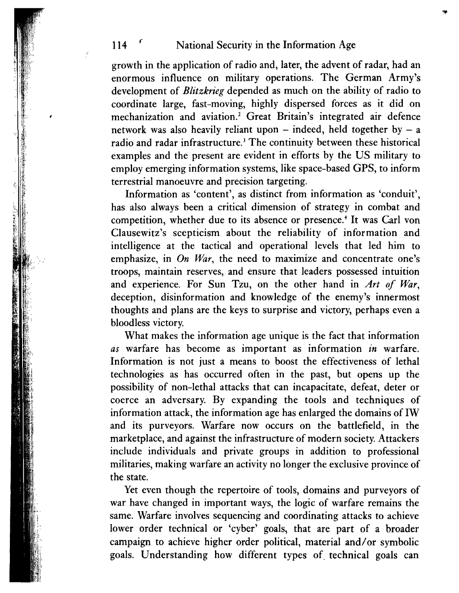## 114 ( National Security in the Information Age

growth in the application of radio and, later, the advent of radar, had an enormous influence on military operations. The German Army's development of *Blitzkrieg* depended as much on the ability of radio to coordinate large, fast-moving, highly dispersed forces as it did on mechanization and aviation.' Great Britain's integrated air defence network was also heavily reliant upon - indeed, held together by - a radio and radar infrastructure.' The continuity between these historical examples and the present are evident in efforts by the US military to employ emerging information systems, like space-based GPS, to inform terrestrial manoeuvre and precision targeting.

**Information as 'content', as distinct from information as 'conduit',**  has also always been a critical dimension of strategy in combat and competition, whether due to its absence or presence.' It was Carl von Clausewitz's scepticism about the reliability of information and intelligence at the tactical and operational levels that led him to **emphasize, in** *On War,* **the need to maximize and concentrate one's troops, maintain reserves, and ensure that leaders possessed intuition**  and experience. For Sun Tzu, on the other hand in *Art of War,*  deception, disinformation and knowledge of the enemy's innermost thoughts and plans are the keys to surprise and victory, perhaps even a bloodless victory.

What makes the information age unique is the fact that information *as* warfare has become as important as information *in* warfare. Information is not just a means to boost the effectiveness of lethal technologies as has occurred often in the past, but opens up the possibility of non-lethal attacks that can incapacitate, defeat, deter or coerce an adversary. By expanding the tools and techniques of information attack, the information age has enlarged the domains of **IW**  and its purveyors. Warfare now occurs on the battlefield, in the marketplace, and against the infrastructure of modern society. Attackers include individuals and private groups in addition to professional militaries, making warfare an activity no longer the exclusive province of the state.

Yet even though the repertoire of tools, domains and purveyors of war have changed in important ways, the logic of warfare remains the same. Warfare involves sequencing and coordinating attacks to achieve lower order technical or 'cyber' goals, that are part of a broader campaign to achieve higher order political, material and/or symbolic goals. Understanding how different types of. technical goals can

,

 $\mathcal{L}$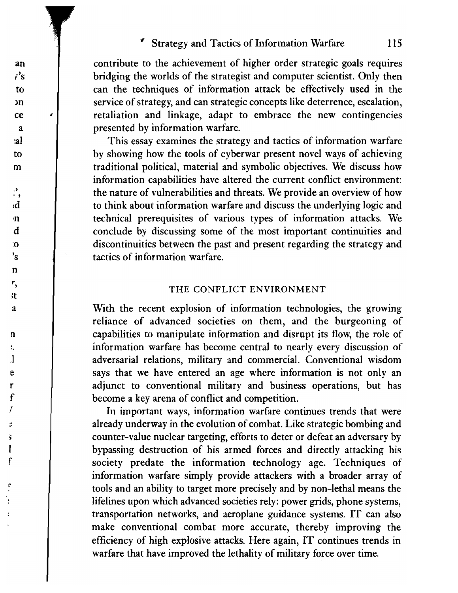an  $r$ <sup>'</sup>s to m ce a :al to m

,

 $\cdot$ , , ,d 'n d :0 's n *r,*  ;t a

n , .. .I e r f 1 /<br>ይ

l I f

 $\mathbf{r}$ 

contribute to the achievement of higher order strategic goals requires bridging the worlds of the strategist and computer scientist. Only then can the techniques of information attack be effectively used in the service of strategy, and can strategic concepts like deterrence, escalation, retaliation and linkage, adapt to embrace the new contingencies presented by information warfare.

This essay examines the strategy and tactics of information warfare by showing how the tools of cyberwar present novel ways of achieving traditional political, material and symbolic objectives. We discuss how information capabilities have altered the current conflict environment: the nature of vulnerabilities and threats. We provide an overview of how to think about information warfare and discuss the underlying logic and technical prerequisites of various types of information attacks. We conclude by discussing some of the most important continuities and discontinuities between the past and present regarding the strategy and tactics of information warfare.

### THE CONFLICT ENVIRONMENT

With the recent explosion of information technologies, the growing reliance of advanced societies on them, and the burgeoning of capabilities to manipulate information and disrupt its flow, the role of information warfare has become central to nearly every discussion of adversarial relations, military and commercial. Conventional wisdom says that we have entered an age where information is not only an adjunct to conventional military and business operations, but has become a key arena of conflict and competition.

In important ways, information warfare continues trends that were already underway in the evolution of combat. Like strategic bombing and counter-value nuclear targeting, efforts to deter or defeat an adversary by bypassing destruction of his armed forces and directly attacking his society predate the information technology age. Techniques of information warfare simply provide attackers with a broader array of tools and an ability to target more precisely and hy non-lethal means the lifelines upon which advanced societies rely: power grids, phone systems, transportation networks, and aeroplane guidance systems. IT can also make conventional combat more accurate, thereby improving the efficiency of high explosive attacks. Here again, IT continues trends in warfare that have improved the lethality of military force over time.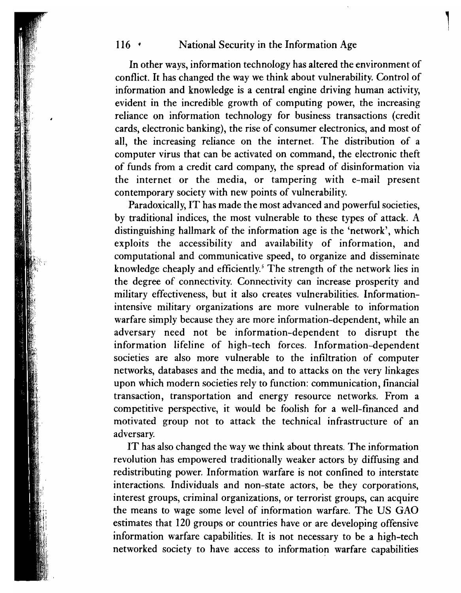# 116 **\*** National Security in the Information Age

**In** other ways, information technology has altered the environment of conflict. It has changed the way we think about vulnerability. Control of information and knowledge is a central engine driving human activity, evident in the incredible growth of computing power, the increasing reliance on information technology for business transactions (credit cards, electronic banking), the rise of consumer electronics, and most of all, the increasing reliance on the internet. The distribution of a computer virus that can be activated on command, the electronic theft of funds from a credit card company, the spread of disinformation via the internet or the media, or tampering with e-mail present contemporary society with new points of vulnerability.

 $\overline{\phantom{a}}$ 

|<br>|

Paradoxically, **IT** has made the most advanced and powerful societies, by traditional indices, the most vulnerable to these types of attack. A distinguishing hallmark of the information age is the 'network', which exploits the accessibility and availability of information, and computational and communicative speed, to organize and disseminate knowledge cheaply and efficiently.<sup>5</sup> The strength of the network lies in the degree of connectivity. Connectivity can increase prosperity and military effectiveness, but it also creates vulnerabilities. Informationintensive military organizations are more vulnerable to information warfare simply because they are more information-dependent, while an adversary need not be information-dependent to disrupt the information lifeline of high-tech forces. Information-dependent societies are also more vulnerable to the infiltration of computer networks, databases and the media, and to attacks on the very linkages upon which modern societies rely to function: communication, financial transaction, transportation and energy resource networks. From a competitive perspective, it would be foolish for a well-financed and motivated group not to attack the technical infrastructure of an adversary.

**IT** has also changed the way we think about threats. The information revolution has empowered traditionally weaker actors by diffusing and redistributing power. Information warfare is not confined to interstate interactions. Individuals and non-state actors, be they corporations, **interest groups, criminal organizations, or terrorist groups, can acquire**  the means to wage some level of information warfare. The US GAO estimates that 120 groups or countries have or are developing offensive information warfare capabilities. It is not necessary to be a high-tech networked society to have access to information warfare capabilities

,

**图状数学/编**取效果要解释注意形态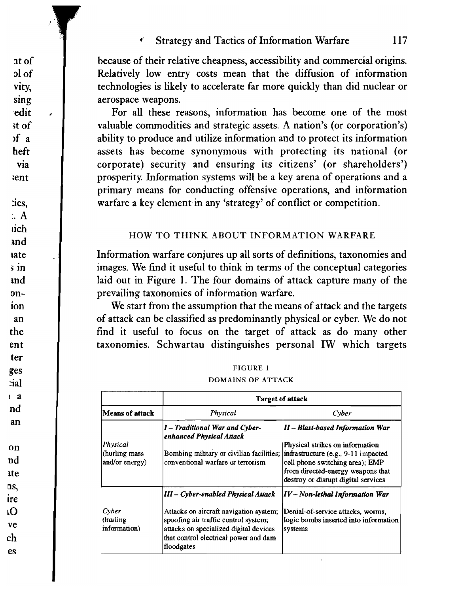ltof Jlof vity, sing edit ;t of )f a heft via .ent

•

:ies, :. A lich and late  $\sin$ md on-Ion an the ent ter ges oial <sup>I</sup>a nd an

on nd lte ns, . Ire  $\overline{O}$ ve ch :es

because of their relative cheapness, accessibility and commercial origins. Relatively low entry costs mean that the diffusion of information technologies is likely to accelerate far more quickly than did nuclear or aerospace weapons.

For all these reasons, information has become one of the most valuable commodities and strategic assets. A nation's (or corporation's) ability to produce and utilize information and to protect its information assets has become synonymous with protecting its national (or corporate) security and ensuring its citizens' (or shareholders') prosperity. Information systems will be a key arena of operations and a primary means for conducting offensive operations, and information warfare a key element in any 'strategy' of conflict or competition.

# HOW TO THINK ABOUT INFORMATION WARFARE

Information warfare conjures up all sorts of definitions, taxonomies and images. We find it useful to think in terms of the conceptual categories laid out in Figure I. The four domains of attack capture many of the prevailing taxonomies of information warfare.

We start from the assumption that the means of attack and the targets of attack can be classified as predominantly physical or cyber. We do not find it useful to focus on the target of attack as do many other taxonomies. Schwartau distinguishes personal IW which targets

FIGURE 1 DOMAINS OF ATTACK

|                                                                                                                                                                                                                                                                    | <b>Target of attack</b>                                                                                                                     |                                                                                                                                                                                                                           |  |
|--------------------------------------------------------------------------------------------------------------------------------------------------------------------------------------------------------------------------------------------------------------------|---------------------------------------------------------------------------------------------------------------------------------------------|---------------------------------------------------------------------------------------------------------------------------------------------------------------------------------------------------------------------------|--|
| <b>Means of attack</b>                                                                                                                                                                                                                                             | Physical                                                                                                                                    | Cyber                                                                                                                                                                                                                     |  |
| Physical<br>(hurling mass<br>and/or energy)                                                                                                                                                                                                                        | 1 - Traditional War and Cyber-<br>enhanced Physical Attack<br>Bombing military or civilian facilities;<br>conventional warfare or terrorism | II - Blast-based Information War<br>Physical strikes on information<br>infrastructure (e.g., 9-11 impacted<br>cell phone switching area); EMP<br>from directed-energy weapons that<br>destroy or disrupt digital services |  |
| <b>III – Cyber-enabled Physical Attack</b><br>Cyber<br>Attacks on aircraft navigation system;<br>(hurling<br>spoofing air traffic control system;<br>information)<br>attacks on specialized digital devices<br>that control electrical power and dam<br>floodgates |                                                                                                                                             | $ IV - Non-lethal\ Information\ War$<br>Denial-of-service attacks, worms,<br>logic bombs inserted into information<br>systems                                                                                             |  |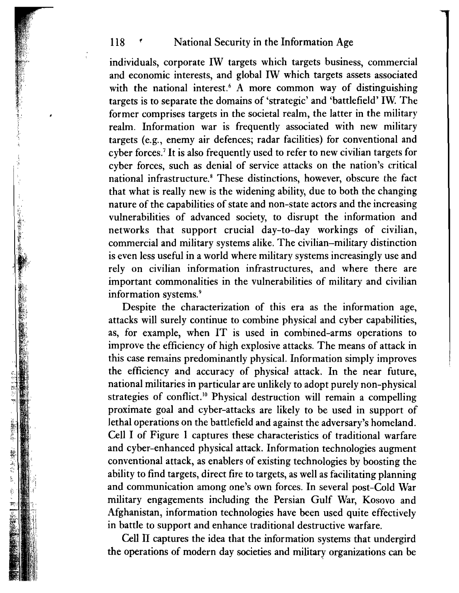# 118 **'** National Security in the Information Age

- 山谷では極める張りの楽

この場所にあって

「難いなん、

Ś.

individuals, corporate IW targets which targets business, commercial and economic interests, and global IW which targets assets associated with the national interest.<sup>6</sup> A more common way of distinguishing targets is to separate the domains of 'strategic' and 'battlefield' IW. The former comprises targets in the societal realm, the latter in the military realm. Information war is frequently associated with new military targets (e.g., enemy air defences; radar facilities) for conventional and cyber forces.' It is also frequently used to refer to new civilian targets for cyber forces, such as denial of service attacks on the nation's critical national infrastructure.<sup>8</sup> These distinctions, however, obscure the fact that what is really new is the widening ability, due to both the changing nature of the capabilities of state and non-state actors and the increasing vulnerabilities of advanced society, to disrupt the information and networks that support crucial day-to-day workings of civilian, commercial and military systems alike. The civilian-military distinction is even less useful in a world where military systems increasingly use and rely on civilian information infrastructures, and where there are important commonalities in the vulnerabilities of military and civilian information systems.'

Despite the characterization of this era as the information age, attacks will surely continue to combine physical and cyber capabilities, as, for example, when IT is used in combined-arms operations to improve the efficiency of high explosive attacks. The means of attack in this case remains predominantly physical. Information simply improves the efficiency and accuracy of physical attack. In the near future, national militaries in particular are unlikely to adopt purely non-physical strategies of conflict.<sup>10</sup> Physical destruction will remain a compelling proximate goal and cyber-attacks are likely to be used in support of lethal operations on the battlefield and against the adversary's homeland. Cell I of Figure I captures these characteristics of traditional warfare and cyber-enhanced physical attack. Information technologies augment conventional attack, as enablers of existing technologies by boosting the ability to find targets, direct fire to targets, as well as facilitating planning and communication among one's own forces. In several post-Cold War military engagements including the Persian Gulf War, Kosovo and Afghanistan, information technologies have been used quite effectively in battle to support and enhance traditional destructive warfare.

Cell II captures the idea that the information systems that undergird the operations of modern day societies and military organizations can be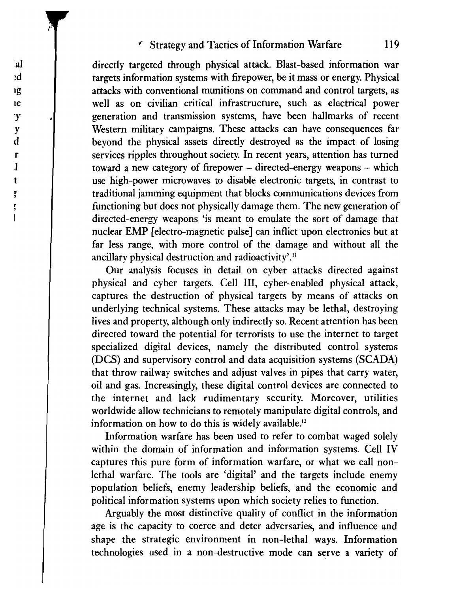"Y Y d r 1 t ւ<br>,<br>, י<br>, ,

I

 $\mathbf{a}$ ъd ıg **te** 

directly targeted through physical attack. Blast-based information war targets information systems with firepower, be it mass or energy. Physical attacks with conventional munitions on command and control targets, as well as on civilian critical infrastructure, such as electrical power generation and transmission systems, have been hallmarks of recent Western military campaigns. These attacks can have consequences far beyond the physical assets directly destroyed as the impact of losing services ripples throughout society. In recent years, attention has turned toward a new category of firepower  $-$  directed-energy weapons  $-$  which use high-power microwaves to disable electronic targets, in contrast to traditional jamming equipment that blocks communications devices from functioning but does not physically damage them. The new generation of directed-energy weapons 'is meant to emulate the sort of damage that nuclear EMP [electro-magnetic pulse] can inflict upon electronics but at far less range, with more control of the damage and without all the ancillary physical destruction and radioactivity'."

Our analysis focuses in detail on cyber attacks directed against physical and cyber targets. Cell III, cyber-enabled physical attack, captures the destruction of physical targets by means of attacks on underlying technical systems. These attacks may be lethal, destroying lives and property, although only indirectly so. Recent attention has been directed toward the potential for terrorists to use the internet to target specialized digital devices, namely the distributed control systems (DCS) and supervisory control and data acquisition systems (SCADA) that throw railway switches and adjust valves in pipes that carry water, oil and gas. Increasingly, these digital control devices are connected to the internet and lack rudimentary security. Moreover, utilities worldwide allow technicians to remotely manipulate digital controls, and information on how to do this is widely available."

Information warfare has been used to refer to combat waged solely within the domain of information and information systems. Cell IV captures this pure form of information warfare, or what we call nonlethal warfare. The tools are 'digital' and the targets include enemy population beliefs, enemy leadership beliefs, and the economic and political information systems upon which society relies to function.

Arguably the most distinctive quality of conflict in the information age is the capacity to coerce and deter adversaries, and influence and shape the strategic environment in non-lethal ways. Information technologies used in a non-destructive mode can serve a variety of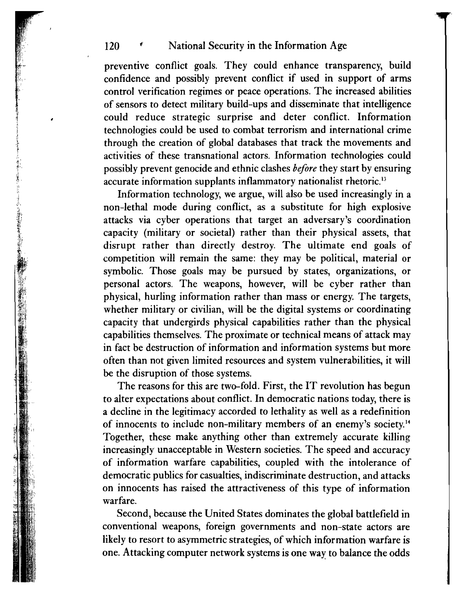# 120 V National Security in the Information Age

,

 $\frac{1}{\epsilon}$ 'I' , preventive conflict goals, They could enhance transparency, build confidence and possibly prevent conflict if used in support of arms control verification regimes or peace operations. The increased abilities of sensors to detect military build-ups and disseminate that intelligence could reduce strategic surprise and deter conflict. Information technologies could be used to combat terrorism and international crime through the creation of global databases that track the movements and activities of these transnational actors. Information technologies could possibly prevent genocide and ethnic clashes *before* they start by ensuring accurate information supplants inflammatory nationalist rhetoric.<sup>13</sup>

Information technology, we argue, will also be used increasingly in a non-lethal mode during conflict, as a substitute for high explosive attacks via cyber operations that target an adversary's coordination capacity (military or societal) rather than their physical assets, that disrupt rather than directly destroy. The ultimate end goals of competition will remain the same: they may be political, material or symbolic. Those goals may be pursued by states, organizations, or personal actors. The weapons, however, will be cyber rather than physical, hurling information rather than mass or energy. The targets, whether military or civilian, will be the digital systems or coordinating capacity that undergirds physical capabilities rather than the physical capabilities themselves. The proximate or technical means of attack may in fact be destruction of information and information systems but more often than not given limited resources and system vulnerabilities, it will be the disruption of those systems.

The reasons for this are two-fold. First, the IT revolution has begun to alter expectations about conflict. In democratic nations today, there is a decline in the legitimacy accorded to lethality as well as a redefinition of innocents to include non-military members of an enemy's society.<sup>14</sup> Together, these make anything other than extremely accurate killing increasingly unacceptable in Western societies. The speed and accuracy of information warfare capabilities, coupled with the intolerance of democratic publics for casualties, indiscriminate destruction, and attacks on innocents has raised the attractiveness of this type of information warfare.

Second, because the United States dominates the global battlefield in conventional weapons, foreign governments and non-state actors are likely to resort to asymmetric strategies, of which information warfare is one. Attacking computer network systems is one way to balance the odds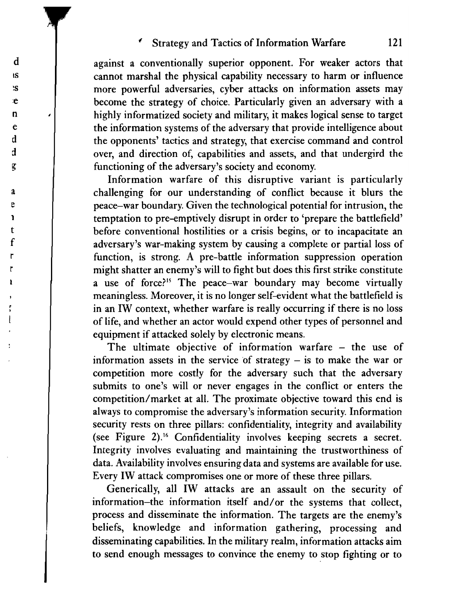d IS :s 'e n e d d g

a e I t f r r

,<br>, , against a conventionally superior opponent. For weaker actors that cannot marshal the physical capability necessary to harm or influence more powerful adversaries, cyber attacks on information assets may become the strategy of choice. Particularly given an adversary with a highly informatized society and military, it makes logical sense to target the information systems of the adversary that provide intelligence about the opponents' tactics and strategy, that exercise command and control over, and direction of, capabilities and assets, and that undergird the functioning of the adversary's society and economy.

Information warfare of this disruptive variant is particularly challenging for our understanding of conflict because it blurs the peace-war boundary. Given the technological potential for intrusion, the temptation to pre-emptively disrupt in order to 'prepare the battlefield' before conventional hostilities or a crisis begins, or to incapacitate an adversary's war-making system by causing a complete or partial loss of function, is strong. A pre-battle information suppression operation might shatter an enemy's will to fight but docs this first strike constitute a use of force?<sup>15</sup> The peace-war boundary may become virtually meaningless. Moreover, it is no longer self-evident what the battlefield is in an IW context, whether warfare is really occurring if there is no loss of life, and whether an actor would expend other types of personnel and equipment if attacked solely by electronic means.

The ultimate objective of information warfare  $-$  the use of information assets in the service of strategy  $-$  is to make the war or competition more costly for the adversary such that the adversary submits to one's will or never engages in the conflict or enters the competition/market at all. The proximate objective toward this end is always to compromise the adversary's information security. Information security rests on three pillars: confidentiality, integrity and availability (see Figure 2).!6 Confidentiality involves keeping secrets a secret. Integrity involves evaluating and maintaining the trustworthiness of data. Availability involves ensuring data and systems are available for use. Every IW attack compromises one or more of these three pillars.

Generically, all IW attacks are an assault on the security of information-the information itself and/or the systems that collect, process and disseminate the information. The targets are the enemy's beliefs, knowledge and information gathering, processing and disseminating capabilities. In the military realm, information attacks aim to send enough messages to convince the enemy to stop fighting or to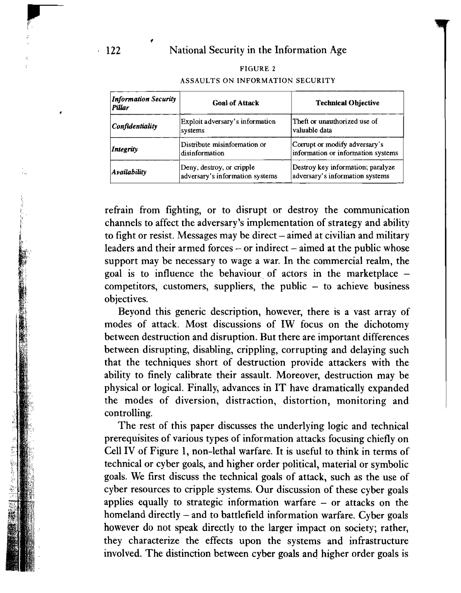# , 122 National Security in the Information Age

#### FIGURE 2

| <b>Information Security</b><br>Pillar | <b>Goal of Attack</b>                                        | <b>Technical Objective</b><br>Theft or unauthorized use of<br>valuable data |  |
|---------------------------------------|--------------------------------------------------------------|-----------------------------------------------------------------------------|--|
| Confidentiality                       | Exploit adversary's information<br>systems                   |                                                                             |  |
| Integrity                             | Distribute misinformation or<br>disinformation               | Corrupt or modify adversary's<br>information or information systems         |  |
| <i>Availability</i>                   | Deny, destroy, or cripple<br>adversary's information systems | Destroy key information; paralyze<br>adversary's information systems        |  |

#### ASSAULTS ON INFORMATION SECURITY

refrain from fighting, or to disrupt or destroy the communication channels to affect the adversary's implementation of strategy and ability to fight or resist. Messages may be direct  $-\text{aimed}$  at civilian and military leaders and their armed forces - or indirect - aimed at the public whose support may be necessary to wage a war. In the commercial realm, the goal is to influence the behaviour of actors in the marketplace  $$ competitors, customers, suppliers, the public  $-$  to achieve business objectives.

Beyond this generic description, however, there is a vast array of modes of attack. Most discussions of IW focus on the dichotomy between destruction and disruption. But there are important differences between disrupting, disabling, crippling, corrupting and delaying such that the techniques short of destruction provide attackers with the ability to finely calibrate their assault. Moreover, destruction may be physical or logical. Finally, advances in IT have dramatically expanded the modes of diversion, distraction, distortion, monitoring and controlling.

The rest of this paper discusses the underlying logic and technical prerequisites of various types of information attacks focusing chiefly on Cell IV of Figure I, non-lethal warfare. It is useful to think in terms of technical or cyber goals, and higher order political, material or symbolic goals. We first discuss the technical goals of attack, such as the use of cyber resources to cripple systems. Our discussion of these cyber goals applies equally to strategic information warfare  $-$  or attacks on the homeland directly  $-$  and to battlefield information warfare. Cyber goals however do not speak directly to the larger impact on society; rather, they characterize the effects upon the systems and infrastructure involved. The distinction between cyber goals and higher order goals is

,

,

'V

 $\mathcal{E}_{\mathcal{E}}$ i: '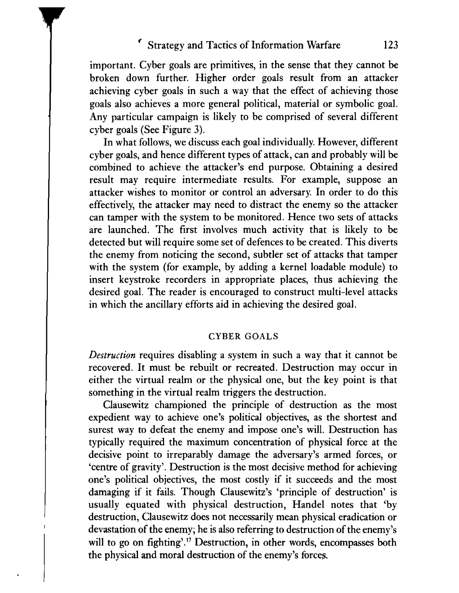important. Cyber goals are primitives, in the sense that they cannot be broken down further. Higher order goals result from an attacker achieving cyber goals in such a way that the effect of achieving those goals also achieves a more general political, material or symbolic goal. Any particular campaign is likely to be comprised of several different cyber goals (See Figure 3).

In what follows, we discuss each goal individually. However, different cyber goals, and hence different types of attack, can and probably will be combined to achieve the attacker's end purpose. Obtaining a desired result may require intermediate results. For example, suppose an attacker wishes to monitor or control an adversary. In order to do this effectively, the attacker may need to distract the enemy so the attacker can tamper with the system to be monitored. Hence two sets of attacks are launched. The first involves much activity that is likely to be detected but will require some set of defences to be created. This diverts the enemy from noticing the second, subtler set of attacks that tamper with the system (for example, by adding a kernel loadable module) to insert keystroke recorders in appropriate places, thus achieving the desired goal. The reader is encouraged to construct multi-level attacks in which the ancillary efforts aid in achieving the desired goal.

### CYBER GOALS

*Destruction* requires disabling a system in such a way that it cannot be recovered. It must be rebuilt or recreated. Destruction may occur in either the virtual realm or the physical one, but the key point is that something in the virtual realm triggers the destruction.

Gausewitz championed the principle of destruction as the most expedient way to achieve one's political objectives, as the shortest and surest way to defeat the enemy and impose one's will. Destruction has typically required the maximum concentration of physical force at the decisive point to irreparably damage the adversary's armed forces, or 'centre of gravity'. Destruction is the most decisive method for achieving one's political objectives, the most costly if it succeeds and the most damaging if it fails. Though Clausewitz's 'principle of destruction' is usually equated with physical destruction, Handel notes that 'by destruction, Clausewitz does not necessarily mean physical eradication or devastation of the enemy; he is also referring to destruction of the enemy's will to go on fighting'.<sup>17</sup> Destruction, in other words, encompasses both the physical and moral destruction of the enemy's forces.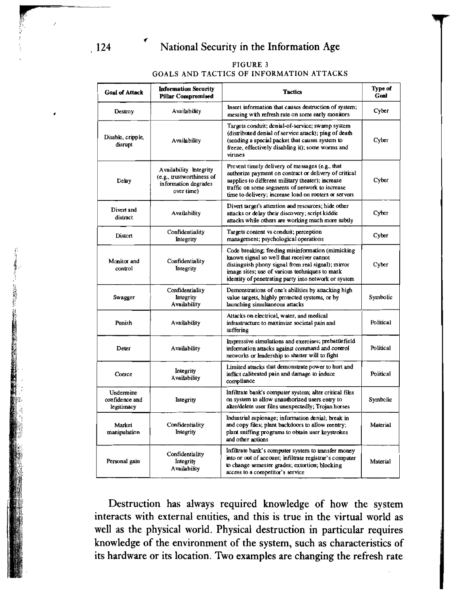.124 National Security in the Information Age

### FIGURE 3

### GOALS AND TACTICS OF INFORMATION ATTACKS

| <b>Goal of Attack</b>                     | <b>Information Security</b><br><b>Pillar Compromised</b>                                  | <b>Tactics</b>                                                                                                                                                                                                                                                            | Type of<br>Goal |
|-------------------------------------------|-------------------------------------------------------------------------------------------|---------------------------------------------------------------------------------------------------------------------------------------------------------------------------------------------------------------------------------------------------------------------------|-----------------|
| Destroy                                   | Availability                                                                              | Insert information that causes destruction of system;<br>messing with refresh rate on some early monitors                                                                                                                                                                 | Cyber           |
| Disable, cripple,<br>disrupt              | Availability                                                                              | Targets conduit; denial-of-service; swamp system<br>(distributed denial of service attack); ping of death<br>(sending a special packet that causes system to<br>freeze, effectively disabling it); some worms and<br>viruses                                              | Cyber           |
| Delay                                     | Availability Integrity<br>(e.g., trustworthiness of<br>information degrades<br>over time) | Prevent timely delivery of messages (e.g., that<br>authorize payment on contract or delivery of critical<br>supplies to different military theater); increase<br>traffic on some segments of network to increase<br>time to delivery; increase load on routers or servers | Cyber           |
| Divert and<br>distract                    | Availability                                                                              | Divert target's attention and resources; hide other<br>attacks or delay their discovery; script kiddie<br>attacks while others are working much more subtly                                                                                                               | Cyber           |
| Distort                                   | Confidentiality<br>Integrity                                                              | Targets content vs conduit; perception<br>management; psychological operations                                                                                                                                                                                            | Cyber           |
| Monitor and<br>control                    | Confidentiality<br>Integrity                                                              | Code breaking; feeding misinformation (mimicking<br>known signal so well that receiver cannot<br>distinguish phony signal from real signal); mirror<br>image sites; use of various techniques to mask<br>identity of penetrating party into network or system             | Cyber           |
| Swagger                                   | Confidentiality<br>Integrity<br>Availability                                              | Demonstrations of one's abilities by attacking high<br>value targets, highly protected systems, or by<br>launching simultaneous attacks                                                                                                                                   | Symbolic        |
| Punish                                    | Availability                                                                              | Attacks on electrical, water, and medical<br>infrastructure to maximize societal pain and<br>suffering                                                                                                                                                                    | Political       |
| Deter                                     | Availability                                                                              | Impressive simulations and exercises; prebattlefield<br>information attacks against command and control<br>networks or leadership to shatter will to fight                                                                                                                | Polítical       |
| Coerce                                    | Integrity<br>Availability                                                                 | Limited attacks that demonstrate power to hurt and<br>inflict calibrated pain and damage to induce<br>compliance                                                                                                                                                          | Political       |
| Undermine<br>confidence and<br>legitimacy | Integrity                                                                                 | Infiltrate bank's computer system; alter critical files<br>on system to allow unauthorized users entry to<br>alter/delete user files unexpectedly; Trojan horses                                                                                                          | Symbolic        |
| Market<br>manipulation                    | Confidentiality<br>Integrity                                                              | Industrial espionage; information denial; break in<br>and copy files; plant backdoors to allow reentry;<br>plant sniffing programs to obtain user keystrokes<br>and other actions                                                                                         | Material        |
| Personal gain                             | Confidentiality<br>Integrity<br>Availability                                              | Infiltrate bank's computer system to transfer money<br>into or out of account; infiltrate registrar's computer<br>to change semester grades; extortion; blocking<br>access to a competitor's service                                                                      | Material        |

Destruction has always required knowledge of how the system interacts with external entities, and this is true in the virtual world as well as the physical world. Physical destruction in particular requires knowledge of the environment of the system, such as characteristics of its hardware or its location. Two examples are changing the refresh rate

-,-. .-~~ .... ----.-

,

 $\frac{1}{2}$  $\frac{1}{2}$ 

i

**地名美国哈尔德 计数据 医神经病的 医心理** 

i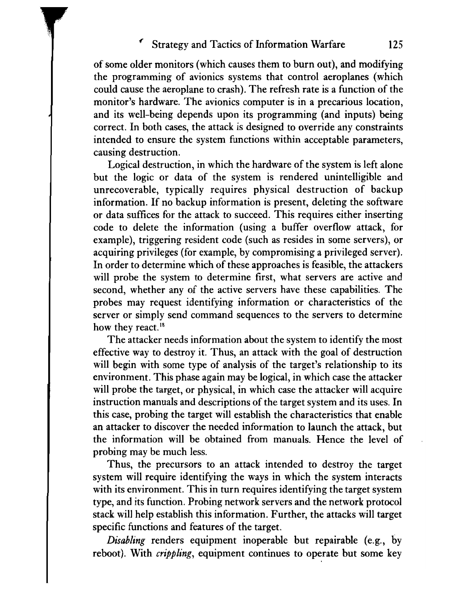of some older monitors (which causes them to burn out), and modifying the programming of avionics systems that control aeroplanes (which could cause the aeroplane to crash). The refresh rate is a function of the monitor's hardware. The avionics computer is in a precarious location, and its well-being depends upon its programming (and inputs) being correct. In both cases, the attack is designed to override any constraints intended to ensure the system functions within acceptable parameters, causing destruction.

Logical destruction, in which the hardware of the system is left alone but the logic or data of the system is rendered unintelligible and unrecoverable, typically requires physical destruction of backup information. If no backup information is present, deleting the software or data suffices for the attack to succeed. This requires either inserting code to delete the information (using a buffer overflow attack, for example), triggering resident code (such as resides in some servers), or acquiring privileges (for example, by compromising a privileged server). In order to determine which of these approaches is feasible, the attackers will probe the system to determine first, what servers are active and second, whether any of the active servers have these capabilities. The probes may request identifying information or characteristics of the server or simply send command sequences to the servers to determine how they react.<sup>18</sup>

The attacker needs information about the system to identify the most effective way to destroy it. Thus, an attack with the goal of destruction will begin with some type of analysis of the target's relationship to its environment. This phase again may be logical, in which case the attacker will probe the target, or physical, in which case the attacker will acquire instruction manuals and descriptions of the target system and its uses. In this case, probing the target will establish the characteristics that enable an attacker to discover the needed information to launch the attack, but the information will be obtained from manuals. Hence the level of probing may be much less.

Thus, the precursors to an attack intended to destroy the target system will require identifying the ways in which the system interacts with its environment. This in turn requires identifying the target system type, and its function. Probing network servers and the network protocol stack will help establish this information. Further, the attacks will target specific functions and features of the target.

*Disabling* renders equipment inoperable but repairable (e.g., by reboot). With *crippling,* equipment continues to operate but some key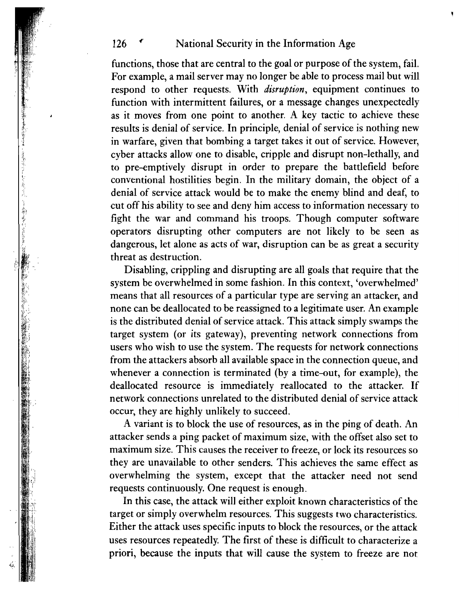# 126 Y National Security in the Information Age

•

functions, those that are central to the goal or purpose of the system, fail. For example, a mail server may no longer be able to process mail but will respond to other requests. With *disruption,* equipment continues to function with intermittent failures, or a message changes unexpectedly as it moves from one point to another. A key tactic to achieve these results is denial of service. In principle, denial of service is nothing new in warfare, given that bombing a target takes it out of service. However, cyber attacks allow one to disable, cripple and disrupt non-lethally, and to pre-emptively disrupt in order to prepare the battlefield before conventional hostilities begin. In the military domain, the object of a denial of service attack would be to make the enemy blind and deaf, to cut off his ability to see and deny him access to information necessary to fight the war and command his troops. Though computer software operators disrupting other computers are not likely to be seen as dangerous, let alone as acts of war, disruption can be as great a security threat as destruction.

Disabling, crippling and disrupting are all goals that require that the system be overwhelmed in some fashion. In this context, 'overwhelmed' means that all resources of a particular type are serving an attacker, and none can be deallocated to be reassigned to a legitimate user. An example is the distributed denial of service attack. This attack simply swamps the target system (or its gateway), preventing network connections from users who wish to use the system. The requests for network connections from the attackers absorb all available space in the connection queue, and whenever a connection is terminated (by a time-out, for example), the deallocated resource is immediately reallocated to the attacker. If network connections unrelated to the distributed denial of service attack occur, they are highly unlikely to succeed.

A variant is to block the use of resources, as in the ping of death. An attacker sends a ping packet of maximum size, with the offset also set to maximum size. This causes the receiver to freeze, or lock its resources so they are unavailable to other senders. This achieves the same effect as overwhelming the system, except that the attacker need not send requests continuously. One request is enough.

In this case, the attack will either exploit known characteristics of the target or simply overwhelm resources. This suggests two characteristics. Either the attack uses specific inputs to block the resources, or the attack uses resources repeatedly. The first of these is difficult to characterize a priori, because the inputs that will cause the system to freeze are not

i,:-

 $\mathbb{R}^n$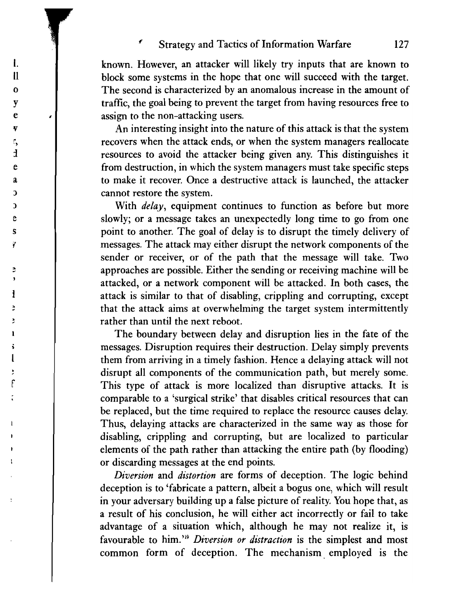I. II  $\Omega$ y e v .<br>י,  $\mathbf{I}$ e a  $\overline{\mathbf{C}}$  $\mathbf{D}$ e s f

•

 $\ddot{\vec{r}}$ 

 $\mathbf{I}$ 

 $\ddot{\phantom{0}}$ > · 1 ; I • · f

known, However, an attacker will likely try inputs that are known to block some systems in the hope that one will succeed with the target, The second is characterized by an anomalous increase in the amount of traffic, the goal being to prevent the target from having resources free to assign to the non-attacking users,

An interesting insight into the nature of this attack is that the system recovers when the attack ends, or when the system managers reallocate resources to avoid the attacker being given any. This distinguishes it from destruction, in which the system managers must take specific steps to make it recover, Once a destructive attack is launched, the attacker cannot restore the system.

With *delay*, equipment continues to function as before but more slowly; or a message takes an unexpectedly long time to go from one point to another. The goal of delay is to disrupt the timely delivery of messages. The attack may either disrupt the network components of the sender or receiver, or of the path that the message will take, Two approaches are possible. Either the sending or receiving machine will be attacked, or a network component will be attacked, In both cases, the attack is similar to that of disabling, crippling and corrupting, except that the attack aims at overwhelming the target system intermittently rather than until the next reboot.

The boundary between delay and disruption lies in the fate of the messages. Disruption requires their destruction. Delay simply prevents them from arriving in a timely fashion. Hence a delaying attack will not disrupt all components of the communication path, but merely some. This type of attack is more localized than disruptive attacks. It is comparable to a 'surgical strike' that disables critical resources that can be replaced, but the time required to replace the resource causes delay, Thus, delaying attacks are characterized in the same way as those for disabling, crippling and corrupting, but are localized to particular elements of the path rather than attacking the entire path (by flooding) or discarding messages at the end points,

*Diversion* and *distortion* are forms of deception, The logic behind deception is to 'fabricate a pattern, albeit a bogus one, which will result in your adversary building up a false picture of reality. You hope that, as a result of his conclusion, he will either act incorrectly or fail to take advantage of a situation which, although he may not realize it, is favourable to him.'!' *Diversion or distraction* is the simplest and most common form of deception. The mechanism employed is the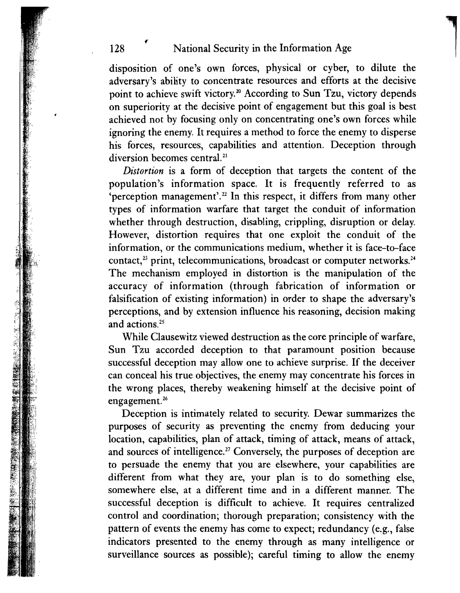### 128 National Security in the Information Age

,

disposition of one's own forces, physical or cyber, to dilute the adversary's ability to concentrate resources and efforts at the decisive point to achieve swift victory.<sup>20</sup> According to Sun Tzu, victory depends on superiority at the decisive point of engagement but this goal is best achieved not by focusing only on concentrating one's own forces while ignoring the enemy. It requires a method to force the enemy to disperse his forces, resources, capabilities and attention. Deception through diversion becomes central.<sup>21</sup>

la de la característica de la característica de la característica de la característica de la característica de<br>La característica de la característica de la característica de la característica de la característica de la ca

j.

*Distortion* is a form of deception that targets the content of the population's information space. It is frequently referred to as 'perception management'.<sup>22</sup> In this respect, it differs from many other types of information warfare that target the conduit of information whether through destruction, disabling, crippling, disruption or delay. However, distortion requires that one exploit the conduit of the information, or the communications medium, whether it is face-to-face contact, $^{23}$  print, telecommunications, broadcast or computer networks. $^{24}$ The mechanism employed in distortion is the manipulation of the accuracy of information (through fabrication of information or falsification of existing information) in order to shape the adversary's perceptions, and by extension influence his reasoning, decision making **and actions. <sup>25</sup>**

While Clausewitz viewed destruction as the core principle of warfare, Sun Tzu accorded deception to that paramount position because successful deception may allow one to achieve surprise. If the deceiver can conceal his true objectives, the enemy may concentrate his forces in the wrong places, thereby weakening himself at the decisive point of **engagement.26** 

Deception is intimately related to security. Dewar summarizes the purposes of security as preventing the enemy from deducing your location, capabilities, plan of attack, timing of attack, means of attack, and sources of intelligence.<sup>27</sup> Conversely, the purposes of deception are to persuade the enemy that you are elsewhere, your capabilities are different from what they are, your plan is to do something else, somewhere else, at a different time and in a different manner. The successful deception is difficult to achieve. It requires centralized control and coordination; thorough preparation; consistency with the pattern of events the enemy has come to expect; redundancy (e.g., false indicators presented to the enemy through as many intelligence or surveillance sources as possible); careful timing to allow the enemy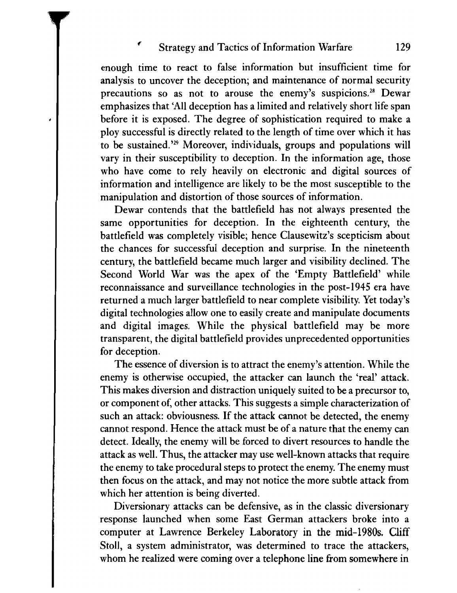enough time to react to false information but insufficient time for analysis to uncover the deception; and maintenance of normal security **precautions so as not to arouse the enemy's suspicions. 28 Dewar**  emphasizes that 'All deception has a limited and relatively short life span before it is exposed. The degree of sophistication required to make a ploy successful is directly related to the length of time over which it has to be sustained.<sup>'29</sup> Moreover, individuals, groups and populations will vary in their susceptibility to deception. In the information age, those who have come to rely heavily on electronic and digital sources of information and intelligence are likely to be the most susceptible to the manipulation and distortion of those sources of information.

,

Dewar contends that the battlefield has not always presented the same opportunities for deception. In the eighteenth century, the battlefield was completely visible; hence Clausewitz's scepticism about the chances for successful deception and surprise. In the nineteenth century, the battlefield became much larger and visibility declined. The Second World War was the apex of the 'Empty Battlefield' while reconnaissance and surveillance technologies in the post-1945 era have returned a much larger battlefield to near complete visibility. Yet today's digital technologies allow one to easily create and manipulate documents and digital images. While the physical battlefield may be more transparent, the digital battlefield provides unprecedented opportunities for deception.

The essence of diversion is to attract the enemy's attention. While the enemy is otherwise occupied, the attacker can launch the 'real' attack. This makes diversion and distraction uniquely suited to be a precursor to, or component of, other attacks. This suggests a simple characterization of such an attack: obviousness. **If** the attack cannot be detected, the enemy cannot respond. Hence the attack must be of a nature that the enemy can detect. Ideally, the enemy will be forced to divert resources to handle the attack as well. Thus, the attacker may use well-known attacks that require the enemy to take procedural steps to protect the enemy. The enemy must then focus on the attack, and may not notice the more subtle attack from which her attention is being diverted.

Diversionary attacks can be defensive, as in the classic diversionary response launched when some East German attackers broke into a computer at Lawrence Berkeley Laboratory in the mid-J980s. Cliff Stoll, a system administrator, was determined to trace the attackers, whom he realized were coming over a telephone line from somewhere in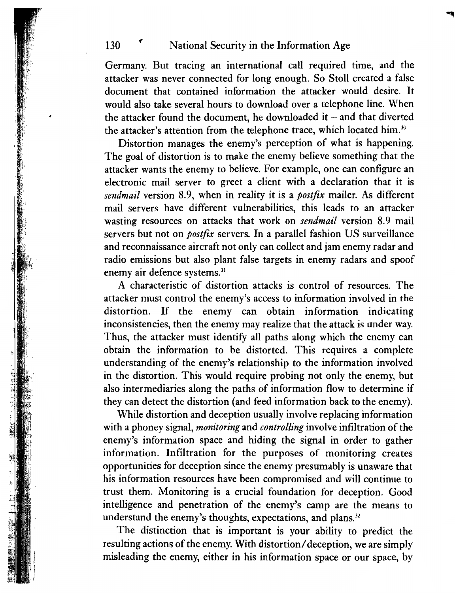# 130 National Security in the Information Age

Germany. But tracing an international call required time, and the attacker was never connected for long enough. So Stoll created a false document that contained information the attacker would desire. **It**  would also take several hours to download over a telephone line. When the attacker found the document, he downloaded it  $-$  and that diverted the attacker's attention from the telephone trace, which located him.<sup>30</sup>

Distortion manages the enemy's perception of what is happening. The goal of distortion is to make the enemy believe something that the attacker wants the enemy to believe. For example, one can configure an electronic mail server to greet a client with a declaration that it is *sendmail* version 8.9, when in reality it is a *postfix* mailer. As different mail servers have different vulnerabilities, this leads to an attacker wasting resources on attacks that work on *sendmail* version 8.9 mail servers but not on *postfix* servers. **In** a parallel fashion US surveillance and reconnaissance aircraft not only can collect and jam enemy radar and radio emissions but also plant false targets in enemy radars and spoof enemy air defence systems.<sup>31</sup>

A characteristic of distortion attacks is control of resources. The attacker must control the enemy's access to information involved in the distortion. If the enemy can obtain information indicating inconsistencies, then the enemy may realize that the attack is under way. Thus, the attacker must identify all paths along which the enemy can obtain the information to be distorted. This requires a complete understanding of the enemy's relationship to the information involved in the distortion. This would require probing not only the enemy, but also intermediaries along the paths of information flow to determine if they can detect the distortion (and feed information back to the enemy).

While distortion and deception usually involve replacing information with a phoney signal, *monitoring* and *controlling* involve infiltration of the enemy's information space and hiding the signal in order to gather information. Infiltration for the purposes of monitoring creates opportunities for deception since the enemy presumably is unaware that his information resources have been compromised and will continue to trust them. Monitoring is a crucial foundation for deception. Good intelligence and penetration of the enemy's camp are the means to understand the enemy's thoughts, expectations, and plans.<sup>32</sup>

The distinction that is important is your ability to predict the resulting actions of the enemy. With distortion/deception, we are simply misleading the enemy, either in his information space or our space, by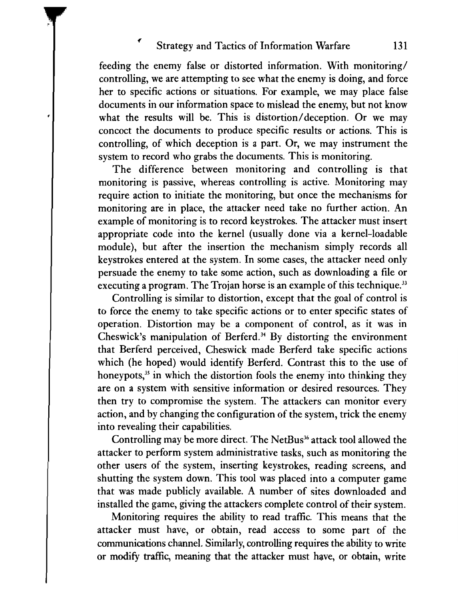feeding the enemy false or distorted information. With monitoring/ controlling, we are attempting to see what the enemy is doing, and force her to specific actions or situations. For example, we may place false documents in our information space to mislead the enemy, but not know what the results will be. This is distortion/deception. Or we may concoct the documents to produce specific results or actions. This is controlling, of which deception is a part. Or, we may instrument the system to record who grabs the documents. This is monitoring.

,

The difference between monitoring and controlling is that monitoring is passive, whereas controlling is active. Monitoring may require action to initiate the monitoring, but once the mechanisms for monitoring are in place, the attacker need take no further action. An example of monitoring is to record keystrokes. The attacker must insert appropriate code into the kernel (usually done via a kernel-Ioadable module), but after the insertion the mechanism simply records all keystrokes entered at the system. In some cases, the attacker need only persuade the enemy to take some action, such as downloading a file or executing a program. The Trojan horse is an example of this technique.<sup>33</sup>

Controlling is similar to distortion, except that the goal of control is to force the enemy to take specific actions or to enter specific states of operation. Distortion may be a component of control, as it was in Cheswick's manipulation of Berferd.<sup>34</sup> By distorting the environment that Berferd perceived, Cheswick made Berferd take specific actions which (he hoped) would identify Berferd. Contrast this to the use of honeypots,<sup>35</sup> in which the distortion fools the enemy into thinking they are on a system with sensitive information or desired resources. They then try to compromise the system. The attackers can monitor every action, and by changing the configuration of the system, trick the enemy into revealing their capabilities.

Controlling may be more direct. The NetBus<sup>36</sup> attack tool allowed the attacker to perform system administrative tasks, such as monitoring the other users of the system, inserting keystrokes, reading screens, and shutting the system down. This tool was placed into a computer game that was made publicly available. A number of sites downloaded and installed the game, giving the attackers complete control of their system.

Monitoring requires the ability to read traffic. This means that the attacker must have, or obtain, read access to some part of the commnnications channel. Similarly, controlling requires the ability to write or modify traffic, meaning that the attacker must have, or obtain, write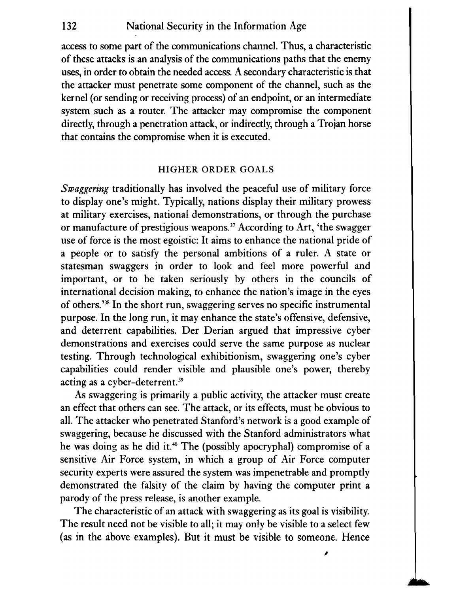access to some part of the communications channel. Thus, a characteristic of these attacks is an analysis of the communications paths that the enemy uses, in order to obtain the needed access. A secondary characteristic is that the attacker must penetrate some component of the channel, such as the kernel (or sending or receiving process) of an endpoint, or an intermediate system such as a router. The attacker may compromise the component directly, through a penetration attack, or indirectly, through a Trojan horse that contains the compromise when it is executed.

### HIGHER ORDER GOALS

*Swaggering* traditionally has involved the peaceful use of military force to display one's might. Typically, nations display their military prowess at military exercises, national demonstrations, or through the purchase or manufacture of prestigious weapons." According to Art, 'the swagger use of force is the most egoistic: It aims to enhance the national pride of a people or to satisfy the personal ambitions of a ruler. A state or statesman swaggers in order to look and feel more powerful and important, or to be taken seriously by others in the councils of international decision making, to enhance the nation's image in the eyes of others.<sup>'38</sup> In the short run, swaggering serves no specific instrumental purpose. In the long run, it may enhance the state's offensive, defensive, and deterrent capabilities. Der Derian argued that impressive cyber demonstrations and exercises could serve the same purpose as nuclear testing. Through technological exhibitionism, swaggering one's cyber capabilities could render visible and plausible one's power, thereby acting as a cyber-deterrent.<sup>39</sup>

As swaggering is primarily a public activity, the attacker must create an effect that others can see. The attack, or its effects, must be obvious to all. The attacker who penetrated Stanford's network is a good example of swaggering, because he discussed with the Stanford administrators what he was doing as he did it.<sup> $#$ </sup> The (possibly apocryphal) compromise of a sensitive Air Force system, in which a group of Air Force computer security experts were assured the system was impenetrable and promptly demonstrated the falsity of the claim by having the computer print a parody of the press release, is another example.

The characteristic of an attack with swaggering as its goal is visibility. The result need not be visible to all; it may only be visible to a select few (as in the above examples). But it must be visible to someone. Hence

¥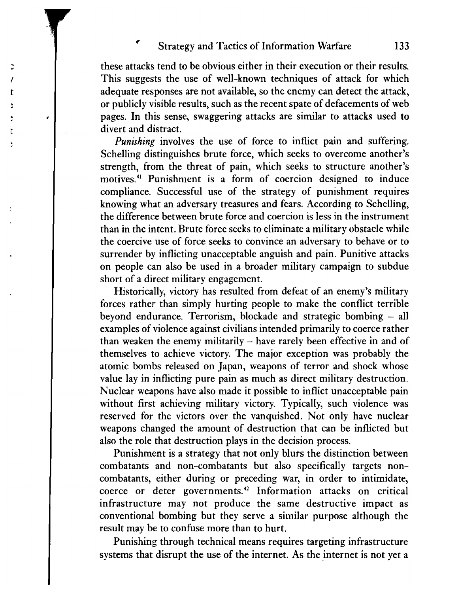I t  $\bullet$ •

þ

 $\frac{1}{2}$ 

these attacks tend to be obvious either in their execution or their results. This suggests the use of well-known techniques of attack for which adequate responses are not available, so the enemy can detect the attack, or publicly visible resuits, such as the recent spate of defacements of web pages. In this sense, swaggering attacks are similar to attacks used to divert and distract.

*Punishing* involves the use of force to inflict pain and suffering. Schelling distinguishes brute force, which seeks to overcome another's strength, from the threat of pain, which seeks to structure another's motives.'! Punishment is a form of coercion designed to induce compliance. Successful use of the strategy of punishment requires knowing what an adversary treasures and fears. According to Schelling, the difference between brute force and coercion is less in the instrument than in the intent. Brute force seeks to eliminate a military obstacle while the coercive use of force seeks to convince an adversary to behave or to surrender by inflicting unacceptable anguish and pain. Punitive attacks on people can also be used in a broader military campaign to subdue short of a direct military engagement.

Historically, victory has resulted from defeat of an enemy's military forces rather than simply hurting people to make the conflict terrible beyond endurance. Terrorism, blockade and strategic bombing - all examples of violence against civilians intended primarily to coerce rather than weaken the enemy militarily - have rarely been effective in and of themselves to achieve victory. The major exception was probably the atomic bombs released on Japan, weapons of terror and shock whose value lay in inflicting pure pain as much as direct military destruction. Nuclear weapons have also made it possible to inflict unacceptable pain without first achieving military victory. Typically, such violence was reserved for the victors over the vanquished. Not only have nuclear weapons changed the amount of destruction that can be inflicted but also the role that destruction plays in the decision process.

Punishment is a strategy that not only blurs the distinction between combatants and non-combatants but also specifically targets noncombatants, either during or preceding war, in order to intimidate, coerce or deter governments." Information attacks on critical infrastructure may not produce the same destructive impact as conventional bombing but they serve a similar purpose although the result may be to confuse more than to hurt.

Punishing through technical means requires targeting infrastructure systems that disrupt the use of the internet. As the internet is not yet a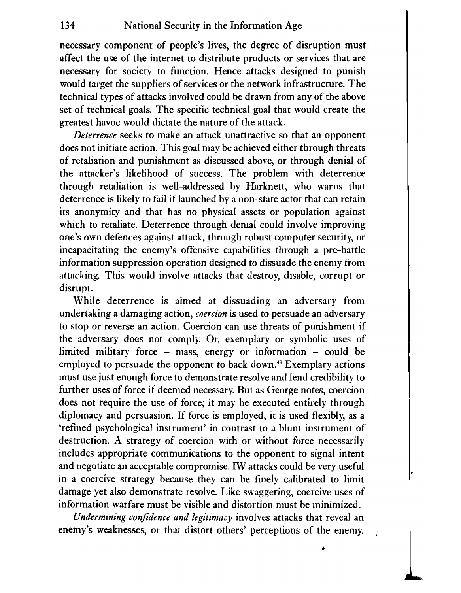necessary component of people's lives, the degree of disruption must affect the use of the internet to distribute products or services that are necessary for society to function. Hence attacks designed to punish would target the suppliers of services or the network infrastructure. The technical types of attacks involved could be drawn from any of the above set of technical goals. The specific technical goal that would create the greatest havoc would dictate the nature of the attack.

*Deterrence* seeks to make an attack unattractive so that an opponent does not initiate action. This goal may be achieved either through threats of retaliation and punishment as discussed above, or through denial of the attacker's likelihood of success. The problem with deterrence through retaliation is well-addressed by Harknett, who warns that deterrence is likely to fail if launched by a non-state actor that can retain its anonymity and that has no physical assets or population against which to retaliate. Deterrence through denial could involve improving one's own defences against attack, through robust computer security, or incapacitating the enemy's offensive capabilities through a pre-battle information suppression operation designed to dissuade the enemy from attacking. This would involve attacks that destroy, disable, corrupt or disrupt.

While deterrence is aimed at dissuading an adversary from undertaking a damaging action, *coercion* is used to persuade an adversary to stop or reverse an action. Coercion can use threats of punishment if the adversary does not comply. Or, exemplary or symbolic uses of limited military force  $-$  mass, energy or information  $-$  could be employed to persuade the opponent to back down." Exemplary actions must use just enough force to demonstrate resolve and lend credibility to further uses of force if deemed necessary. But as George notes, coercion does not require the use of force; it may be executed entirely through diplomacy and persuasion. If force is employed, it is used flexibly, as a 'refined psychological instrument' in contrast to a blunt instrument of destruction. A strategy of coercion with or without force necessarily includes appropriate communications to the opponent to signal intent and negotiate an acceptable compromise. IW attacks could be very useful in a coercive strategy because they can be finely calibrated to limit damage yet also demonstrate resolve. Like swaggering, coercive uses of information warfare must be visible and distortion must be minimized.

*Undermining confidence and legitimacy* involves attacks that reveal an enemy's weaknesses, or that distort others' perceptions of the enemy.

,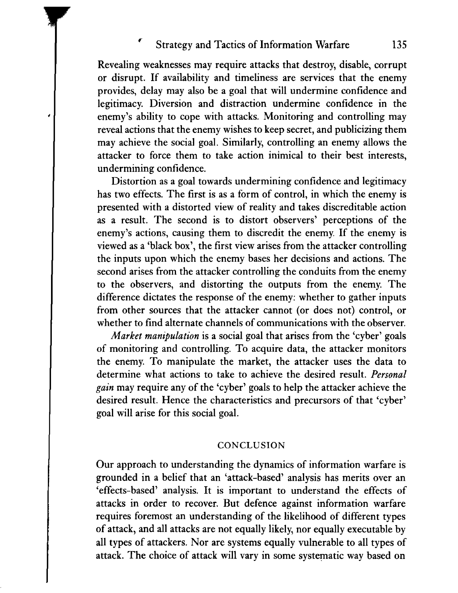Revealing weaknesses may require attacks that destroy, disable, corrupt or disrupt. If availability and timeliness are services that the enemy provides, delay may also be a goal that will undermine confidence and legitimacy. Diversion and distraction undermine confidence in the enemy's ability to cope with attacks. Monitoring and controlling may reveal actions that the enemy wishes to keep secret, and publicizing them may achieve the social goal. Similarly, controlling an enemy allows the attacker to force them to take action inimical to their best interests, undermining confidence.

,

Distortion as a goal towards undermining confidence and legitimacy has two effects. The first is as a form of control, in which the enemy is presented with a distorted view of reality and takes discreditable action as a result. The second is to distort observers' perceptions of the enemy's actions, causing them to discredit the enemy. If the enemy is viewed as a 'black box', the first view arises from the attacker controlling the inputs upon which the enemy bases her decisions and actions. The second arises from the attacker controlling the conduits from the enemy to the observers, and distorting the outputs from the enemy. The difference dictates the response of the enemy: whether to gather inputs from other sources that the attacker cannot (or does not) control, or whether to find alternate channels of communications with the observer.

*Market manipulation* is a social goal that arises from the 'cyber' goals of monitoring and controlling. To acquire data, the attacker monitors the enemy. To manipulate the market, the attacker uses the data to determine what actions to take to achieve the desired result. *Personal gain* may require any of the 'cyber' goals to help the attacker achieve the desired result. Hence the characteristics and precursors of that 'cyber' goal will arise for this social goal.

### CONCLUSION

Our approach to understanding the dynamics of information warfare is grounded in a belief that an 'attack-based' analysis has merits over an 'effects-based' analysis. It is important to understand the effects of attacks in order to recover. But defence against information warfare requires foremost an understanding of the likelihood of different types of attack, and all attacks are not equally likely, nor equally executable by all types of attackers. Nor are systems equally vulnerable to all types of attack. The choice of attack will vary in some systematic way based on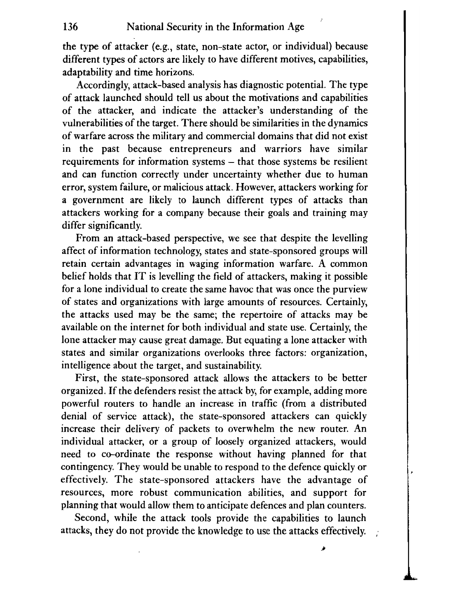the type of attacker (e.g., state, non-state actor, or individual) because different types of actors are likely to have different motives, capabilities, adaptability and time horizons.

Accordingly, attack-based analysis has diagnostic potential. The type of attack launched should tell us about the motivations and capabilities of the attacker, and indicate the attacker's understanding of the vulnerabilities of the target. There should be similarities in the dynamics of warfare across the militaty and commercial domains that did not exist in the past because entrepreneurs and warriors have similar requirements for information systems - that those systems be resilient and can function correctly under uncertainty whether due to human error, system failure, or malicious attack. However, attackers working for a government are likely to launch different types of attacks than attackers working for a company because their goals and training may differ significantly.

From an attack-based perspective, we see that despite the levelling affect of information technology, states and state-sponsored groups will retain certain advantages in waging information warfare. A common belief holds that IT is levelling the field of attackers, making it possible for a lone individual to create the same havoc that was once the purview of states and organizations with large amounts of resources. Certainly, the attacks used may be the same; the repertoire of attacks may be available on the internet for both individual and state use. Certainly, the lone attacker may cause great damage. But equating a lone attacker with states and similar organizations overlooks three factors: organization, intelligence about the target, and sustainability.

First, the state-sponsored attack allows the attackers to be better organized. If the defenders resist the attack by, for example, adding more powerful routers to handle an increase in traffic (from a distributed denial of service attack), the state-sponsored attackers can quickly increase their delivery of packets to overwhelm the new router. An individual attacker, or a group of loosely organized attackers, would need to co-ordinate the response without having planned for that contingency. They would be unable to respond to the defence quickly or effectively. The state-sponsored attackers have the advantage of resources, more robust communication abilities, and support for planning that would allow them to anticipate defences and plan counters.

•

Second, while the attack tools provide the capabilities to launch attacks, they do not provide the knowledge to use the attacks effectively.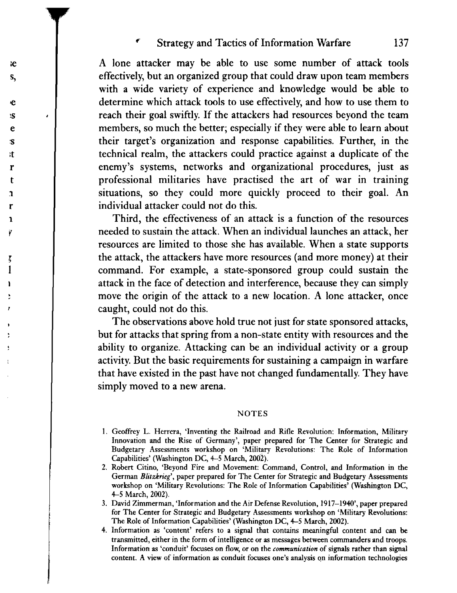'e s,

>C :s e s  $, t$ r t 1 r 1 V

,

, **յ** I

A lone attacker may be able to use some number of attack tools effectively, but an organized group that could draw upon team members with a wide variety of experience and knowledge would be able to determine which attack tools to use effectively, and how to use them to reach their goal swiftly. If the attackers had resources beyond the team members, so much the better; especially if they were able to learn about their target's organization and response capabilities. Further, in the technical realm, the attackers could practice against a duplicate of the enemy's systems, networks and organizational procedures, just as professional militaries have practised the art of war in training situations, so they could more quickly proceed to their goal. An individual attacker could not do this.

Third, the effectiveness of an attack is a function of the resources needed to sustain the attack. When an individual launches an attack, her resources are limited to those she has available. When a state supports the attack, the attackers have more resources (and more money) at their command. For example, a state-sponsored group could sustain the attack in the face of detection and interference, because they can simply move the origin of the attack to a new location. A lone attacker, once caught, could not do this.

The observations above hold true not just for state sponsored attacks, but for attacks that spring from a non-state entity with resources and the ability to organize. Attacking can be an individual activity or a group activity. But the basic requirements for sustaining a campaign in warfare that have existed in the past have not changed fundamentally. They have simply moved to a new arena.

#### NOTES

- 1. Geoffrey L. Herrera, 'Inventing the Railroad and Rifle Revolution: Information, Military Innovation and the Rise of Germany', paper prepared for The Center for Strategic and Budgetary Assessments workshop on 'Military Revolutions: The Role of Information Capabilities' (Washington DC, 4-5 March, 2002).
- Z. Robert Citino, 'Beyond Fire and Movement: Command, Control, and Information in the German *Blitzkrieg',* paper prepared for The Center for Strategic and Budgetary Assessments workshop on 'Military Revolutions: The Role of Information Capabilities' (Washington DC, 4-5 March, 2002).
- 3. David Zimmerman, 'Information and the Air Defense Revolution, 1917-1940', paper prepared for The Center for Strategic and Budgetary Assessments workshop on 'Military Revolutions: The Role of Information Capabilities' (Washington DC, 4-5 March, 2002).
- 4. Information as 'content' refers to a signal that contains meaningful content and can be transmitted, either in the form of intelligence or as messages between commanders and troops. Information as 'conduit' focuses on flow, or on the *communication* of signals rather than signal content. A view of information as conduit focuses one's analysis qn information technologies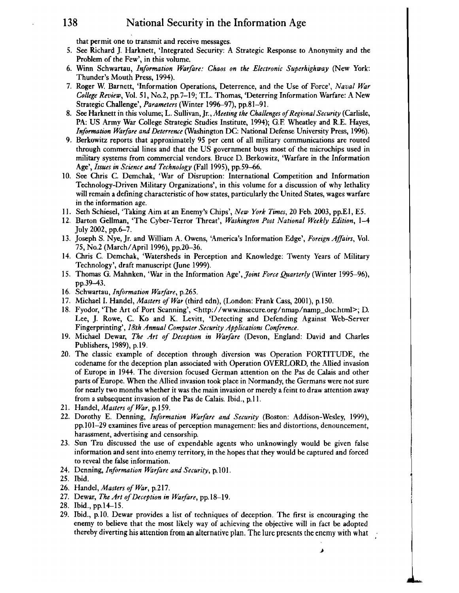# 138 National Security in the Information Age

that permit one to transmit and receive messages.

- 5. See Richard]. Harknett, 'Integrated Security: A Strategic Response to Anonymity and the Problem of the Few', in this volume.
- 6. Winn Schwartau, *Information Warfare: Chaos on the Electronic Superhighway* (New York: Thunder's Mouth Press, 1994).
- 7. Roger W. Barnett, 'Information Operations, Deterrence, and the Use of Force\ *Naval War*  College Review, Vol. 51, No.2, pp.7-19; T.L. Thomas, 'Deterring Information Warfare: A New Strategic Challenge', *Parameters* (Winter 1996-97), pp.81-91.
- 8. See Harknett in this volume; L. Sullivan, Jr., *Meeting the Challenges of Regional Security* (Carlisle, PA: US Army War College Strategic Studies Institute, 1994); G.F. Wheatley and R.E. Haves, *Information Warfarc and Deterrence* (Washington DC: National Defense University Press, 1996).
- 9. Berkowitz reports that approximately 95 per cent of all military communications are routed through commercial lines and that the US government buys most of the microchips used in military systems from commercial vendors. Bruce D. Berkowitz, 'Warfare in the Information Age', Issues in Science and Technology (Fall 1995), pp.59-66.
- 10. See Olris C. Demchak, 'War of Disruption: International Competition and Information Technology-Driven Military Organizations', in this volume for a discussion of why lethality will remain a defining characteristic of how states, particularly the United States, wages warfare in the information age.
- 11. Seth Schiese1, 'Taking Aim at an Enemy's Chips', *New York Times,20* Feb. 2003, pp.El, E5.
- 12. Barton Gellman, 'The Cyber-Terror Threat', *Washington Post National Weekly Edition, 1-4*  July 2002, pp.6-7.
- 13. Joseph S. Nye, Jr. and William A. Owens, 'America's Information Edge', *Foreign Affoirs,* Vol. 75, No.2 (March/April 1996), pp.20–36.
- 14. Chris C. Demchak, 'Watersheds in Perception and Knowledge: Twenty Years of Military Technology', draft manuscript (June 1999).
- 15. Thomas G. Mahnken, 'War in the Information *Age', Joint Force Quarterly* (Winter 1995–96), pp.39-43.
- 16. Schwartau, *Information Warfare,* p.26S.
- 17. Michael I. Handel, *Masters of War* (third edn), (London: Frank Cass, 2001), p.150.
- 18. Fyodor, 'The Art of Port Scanning',  $\langle$ http://www.insecure.org/nmap/namp\_doc.html>; D. Lee, J. Rowe, C. Ko and K. Levitt, 'Detecting and Defending Against Web-Server Fingerprinting'. J *8th Annual Computer Security Applications Conftrence.*
- 19. Michael Dewar, *The Art of Deception in Warfore* (Devon, England: David and Charles Publishers, 1989), p.l9.
- 20. The classic example of deception through diversion was Operation FORTITUDE, the codename for the deception plan associated with Operation OVERLORD, the Allied invasion of Europe in 1944. The diversion focused German attention on the Pas de Calais and other parts of Europe. When the Allied invasion took place in Normandy, the Germans were not sure for nearly two months whether it was the main invasion or merely a feint to draw attention away from a subsequent invasion of the Pas de Calais. Ibid., p.ll.
- 21. Handel, *Masters of War,* p.IS9.
- 22. Dorothy E. Denning, *Information Warfore and Security* (Boston: Addison-Wesley, 1999), pp.l01-29 examines five areas of perception management: lies and distortions, denouncement, harassment, advertising and censorship.
- 23. Sun Tzu discussed the use of expendable agents who unknowingly would be given false information and sent into enemy territory, in the hopes that they would be captured and forced to reveal the false information.
- 24. Denning, *Information Warfore and Security,* p,lOI.
- 25. Ibid.
- 26. Handel, *Masters of War,* p.2l7.
- 27. Dewar, *The Art of Deception in Waifare,* pp.I8-19.
- 28. Ibid., pp.l4-1S.
- 29. Ibid., p.lO. Dewar provides a list of techniques of deception. The first is encouraging the enemy to believe that the most likely way of achieving the objective will in fact be adopted thereby diverting his attention from an alternative plan. The lure presents the enemy with what

1 I

۸